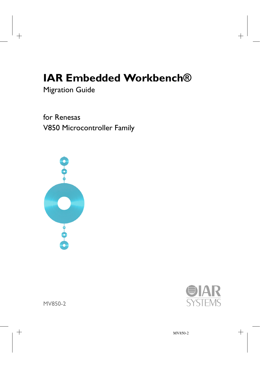# **IAR Embedded Workbench®**

Migration Guide

for Renesas V850 Microcontroller Family





MV850-2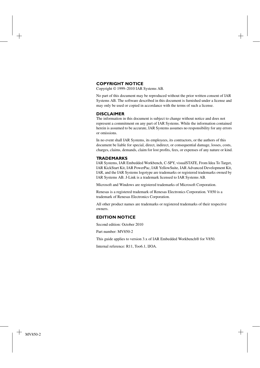## **COPYRIGHT NOTICE**

Copyright © 1999–2010 IAR Systems AB.

No part of this document may be reproduced without the prior written consent of IAR Systems AB. The software described in this document is furnished under a license and may only be used or copied in accordance with the terms of such a license.

#### **DISCLAIMER**

The information in this document is subject to change without notice and does not represent a commitment on any part of IAR Systems. While the information contained herein is assumed to be accurate, IAR Systems assumes no responsibility for any errors or omissions.

In no event shall IAR Systems, its employees, its contractors, or the authors of this document be liable for special, direct, indirect, or consequential damage, losses, costs, charges, claims, demands, claim for lost profits, fees, or expenses of any nature or kind.

#### **TRADEMARKS**

IAR Systems, IAR Embedded Workbench, C-SPY, visualSTATE, From Idea To Target, IAR KickStart Kit, IAR PowerPac, IAR YellowSuite, IAR Advanced Development Kit, IAR, and the IAR Systems logotype are trademarks or registered trademarks owned by IAR Systems AB. J-Link is a trademark licensed to IAR Systems AB.

Microsoft and Windows are registered trademarks of Microsoft Corporation.

Renesas is a registered trademark of Renesas Electronics Corporation. V850 is a trademark of Renesas Electronics Corporation.

All other product names are trademarks or registered trademarks of their respective owners.

#### **EDITION NOTICE**

Second edition: October 2010

Part number: MV850-2

This guide applies to version 3.x of IAR Embedded Workbench® for V850.

Internal reference: R11, Too6.1, IJOA.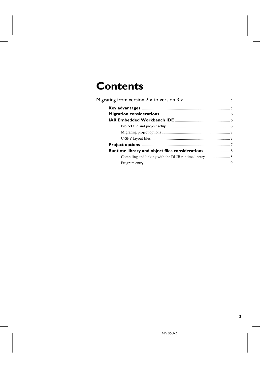## **Contents**

| Runtime library and object files considerations |  |
|-------------------------------------------------|--|
|                                                 |  |
|                                                 |  |
|                                                 |  |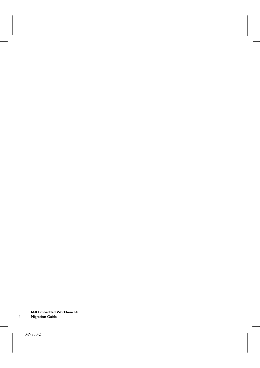**4**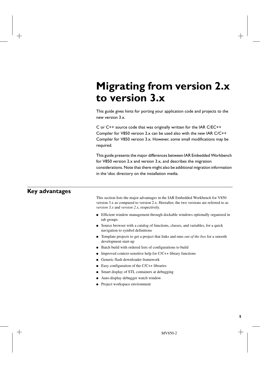## <span id="page-4-0"></span>**Migrating from version 2.x to version 3.x**

This guide gives hints for porting your application code and projects to the new version 3.x.

C or C++ source code that was originally written for the IAR C/EC++ Compiler for V850 version 2.x can be used also with the new IAR C/C++ Compiler for V850 version 3.x. However, some small modifications may be required.

This guide presents the major differences between IAR Embedded Workbench for V850 version 2.x and version 3.x, and describes the migration considerations. Note that there might also be additional migration information in the \doc directory on the installation media.

## <span id="page-4-1"></span>**Key advantages**

This section lists the major advantages in the IAR Embedded Workbench for V850 version 3.x as compared to version 2.x. Hereafter, the two versions are referred to as *version 3.x* and *version 2.x*, respectively.

- Efficient window management through dockable windows optionally organized in tab groups
- Source browser with a catalog of functions, classes, and variables, for a quick navigation to symbol definitions
- Template projects to get a project that links and runs *out of the box* for a smooth development start-up
- Batch build with ordered lists of configurations to build
- Improved context-sensitive help for  $C/C++$  library functions
- Generic flash downloader framework
- $\bullet$  Easy configuration of the C/C++ libraries
- Smart display of STL containers at debugging
- Auto-display debugger watch window
- Project workspace environment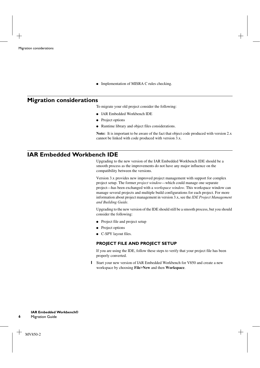• Implementation of MISRA C rules checking.

## <span id="page-5-0"></span>**Migration considerations**

To migrate your old project consider the following:

- IAR Embedded Workbench IDE
- Project options
- Runtime library and object files considerations.

**Note:** It is important to be aware of the fact that object code produced with version 2.x cannot be linked with code produced with version 3.x.

## <span id="page-5-1"></span>**IAR Embedded Workbench IDE**

Upgrading to the new version of the IAR Embedded Workbench IDE should be a smooth process as the improvements do not have any major influence on the compatibility between the versions.

Version 3.x provides new improved project management with support for complex project setup. The former *project window*—which could manage one separate project—has been exchanged with a *workspace window*. This workspace window can manage several projects and multiple build configurations for each project. For more information about project management in version 3.x, see the *IDE Project Management and Building Guide*.

Upgrading to the new version of the IDE should still be a smooth process, but you should consider the following:

- Project file and project setup
- Project options
- C-SPY layout files.

## <span id="page-5-2"></span>**PROJECT FILE AND PROJECT SETUP**

If you are using the IDE, follow these steps to verify that your project file has been properly converted.

**1** Start your new version of IAR Embedded Workbench for V850 and create a new workspace by choosing **File>New** and then **Workspace**.

**6**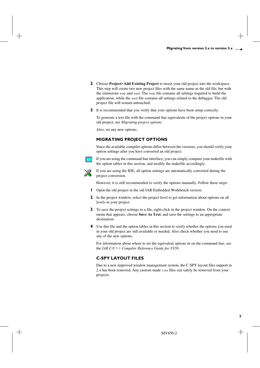- **2** Choose **Project>Add Existing Project** to insert your old project into the workspace. This step will create two new project files with the same name as the old file, but with the extensions ewp and ewd. The ewp file contains all settings required to build the application, while the ewd file contains all settings related to the debugger. The old project file will remain untouched.
- **3** It is recommended that you verify that your options have been setup correctly.

To generate a text file with the command line equivalents of the project options in your old project, see *[Migrating project options](#page-6-0)*.

Also, set any new options.

#### <span id="page-6-0"></span>**MIGRATING PROJECT OPTIONS**

Since the available compiler options differ between the versions, you should verify your option settings after you have converted an old project.



If you are using the command line interface, you can simply compare your makefile with the option tables in this section, and modify the makefile accordingly.



If you are using the IDE, all option settings are automatically converted during the project conversion.

However, it is still recommended to verify the options manually. Follow these steps:

- **1** Open the old project in the old IAR Embedded Workbench version.
- **2** In the project window, select the project level to get information about options on all levels in your project.
- **3** To save the project settings to a file, right-click in the project window. On the context menu that appears, choose **Save As Text**, and save the settings to an appropriate destination.
- **4** Use this file and the option tables in this section to verify whether the options you used in your old project are still available or needed. Also check whether you need to use any of the new options.

For information about where to set the equivalent options in on the command line, see the *IAR C/C++ Compiler Reference Guide for V850*.

#### <span id="page-6-1"></span>**C-SPY LAYOUT FILES**

Due to a new improved window management system, the C-SPY layout files support in 2.x has been removed. Any custom made lew files can safely be removed from your projects.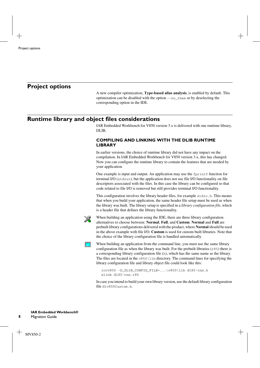## <span id="page-7-0"></span>**Project options**

A new compiler optimization, **Type-based alias analysis**, is enabled by default. This optimization can be disabled with the option --no\_tbaa or by deselecting the corresponding option in the IDE.

## <span id="page-7-1"></span>**Runtime library and object files considerations**

IAR Embedded Workbench for V850 version 3.x is delivered with one runtime library, DLIB.

## <span id="page-7-2"></span>**COMPILING AND LINKING WITH THE DLIB RUNTIME LIBRARY**

In earlier versions, the choice of runtime library did not have any impact on the compilation. In IAR Embedded Workbench for V850 version 3.x, this has changed. Now you can configure the runtime library to contain the features that are needed by your application.

One example is input and output. An application may use the  $f$ printf function for terminal I/O (stdout), but the application does not use file I/O functionality on file descriptors associated with the files. In this case the library can be configured so that code related to file I/O is removed but still provides terminal I/O functionality.

This configuration involves the library header files, for example stdio.h. This means that when you build your application, the same header file setup must be used as when the library was built. The library setup is specified in a *library configuration file*, which is a header file that defines the library functionality.



When building an application using the IDE, there are three library configuration alternatives to choose between: **Normal**, **Full**, and **Custom**. **Normal** and **Full** are prebuilt library configurations delivered with the product, where **Normal** should be used in the above example with file I/O. **Custom** is used for custom built libraries. Note that the choice of the library configuration file is handled automatically.



When building an application from the command line, you must use the same library configuration file as when the library was built. For the prebuilt libraries ( $r85$ ) there is a corresponding library configuration file (h), which has the same name as the library. The files are located in the  $\nu$ 850\lib directory. The command lines for specifying the library configuration file and library object file could look like this:

```
iccv850 -D_DLIB_CONFIG_FILE=...\v850\lib dl85-tnn.h
xlink dl85-tnn.r85
```
In case you intend to build your own library version, use the default library configuration file dlv850Custom.h.

**8**